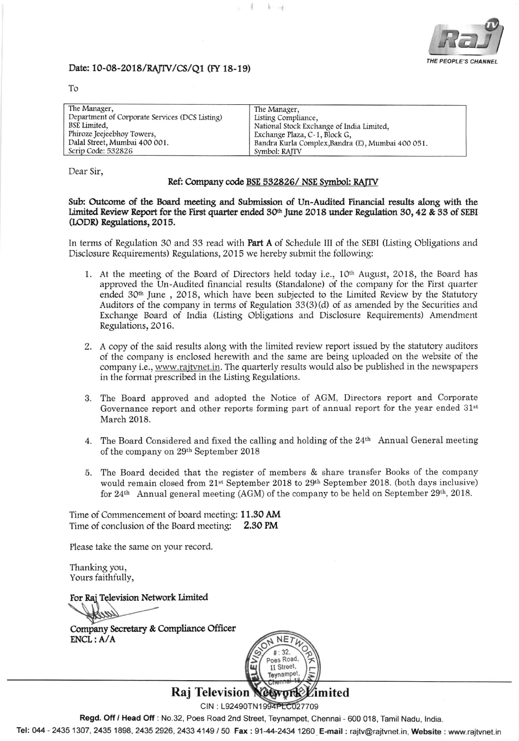

## Date: 10-08-2018/RAJTV/CS/Q1 (FY 18-19)

To

| The Manager,                                   | The Manager,                                      |
|------------------------------------------------|---------------------------------------------------|
| Department of Corporate Services (DCS Listing) | Listing Compliance,                               |
| BSE Limited,                                   | National Stock Exchange of India Limited.         |
| Phiroze Jeejeebhoy Towers,                     | Exchange Plaza, C-1, Block G,                     |
| Dalal Street, Mumbai 400 001.                  | Bandra Kurla Complex, Bandra (E), Mumbai 400 051. |
| Scrip Code: 532826                             | Symbol: RAITV                                     |

4

 $k-1$ 

Dear Sir,

### Ref: Company code BSE 532826/NSE Symbol: RAJTV

#### Sub: Outcome of the Board meeting and Submission of Un-Audited Financial results along with the Limited Review Report for the First quarter ended 30th June 2018 under Regulation 30, 42 & 33 of SEBI (LODR) Regulations, 2015.

In terms of Regulation 30 and 33 read with Part A of Schedule III of the SEBI (Listing Obligations and Disclosure Requirements) Regulations, 2015 we hereby submit the following:

- 1. At the meeting of the Board of Directors held today i.e., 10<sup>th</sup> August, 2018, the Board has approved the Un-Audited financial results (Standalone) of the company for the First quarter ended 30<sup>th</sup> June, 2018, which have been subjected to the Limited Review by the Statutory Auditors of the company in terms of Regulation 33(3)(d) of as amended by the Securities and Exchange Board of India (Listing Obligations and Disclosure Requirements) Amendment Regulations, 2016.
- 2. A copy of the said results along with the limited review report issued by the statutory auditors of the company is enclosed herewith and the same are being uploaded on the website of the company i.e., www.rajtvnet.in. The quarterly results would also be published in the newspapers in the format prescribed in the Listing Regulations.
- 3. The Board approved and adopted the Notice of AGM, Directors report and Corporate Governance report and other reports forming part of annual report for the year ended  $31<sup>st</sup>$ March 2018.
- 4. The Board Considered and fixed the calling and holding of the 24th Annual General meeting of the company on 29th September 2018
- 5. The Board decided that the register of members & share transfer Books of the company would remain closed from 21<sup>st</sup> September 2018 to 29<sup>th</sup> September 2018. (both days inclusive) for 24<sup>th</sup> Annual general meeting (AGM) of the company to be held on September 29<sup>th</sup>, 2018.

Time of Commencement of board meeting: 11.30 AM Time of conclusion of the Board meeting: 2.30 PM

Please take the same on your record.

Thanking you, Yours faithfully,

For Raj Television Network Limited

Company Secretary & Compliance Officer  $ENCL: A/A$ 



**Raj Television** imited

CIN: L92490TN1994PLC027709

Regd. Off / Head Off : No.32, Poes Road 2nd Street, Teynampet, Chennai - 600 018, Tamil Nadu, India.

Tel: 044 - 2435 1307, 2435 1898, 2435 2926, 2433 4149 / 50 Fax: 91-44-2434 1260 E-mail: rajtv@rajtvnet.in, Website: www.rajtvnet.in